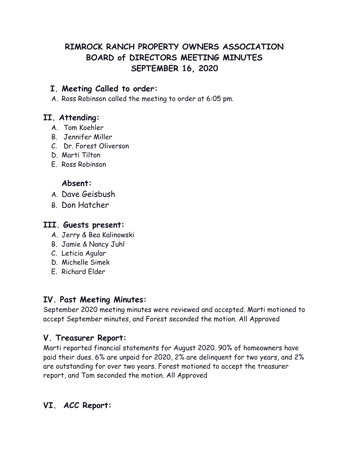# **RIMROCK RANCH PROPERTY OWNERS ASSOCIATION BOARD of DIRECTORS MEETING MINUTES SEPTEMBER 16, 2020**

### **I. Meeting Called to order:**

A. Ross Robinson called the meeting to order at 6:05 pm.

### **II. Attending:**

- A. Tom Koehler
- B. Jennifer Miller
- C. Dr. Forest Oliverson
- D. Marti Tilton
- E. Ross Robinson

#### **Absent:**

- A. Dave Geisbush
- B. Don Hatcher

#### **III. Guests present:**

- A. Jerry & Bea Kalinowski
- B. Jamie & Nancy Juhl
- C. Leticia Agular
- D. Michelle Simek
- E. Richard Elder

### **IV. Past Meeting Minutes:**

September 2020 meeting minutes were reviewed and accepted. Marti motioned to accept September minutes, and Forest seconded the motion. All Approved

### **V. Treasurer Report:**

Marti reported financial statements for August 2020. 90% of homeowners have paid their dues. 6% are unpaid for 2020, 2% are delinquent for two years, and 2% are outstanding for over two years. Forest motioned to accept the treasurer report, and Tom seconded the motion. All Approved

# **VI. ACC Report:**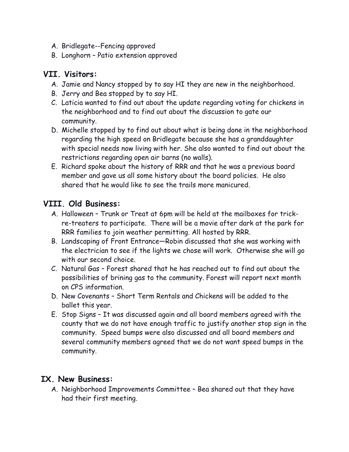- A. Bridlegate--Fencing approved
- B. Longhorn Patio extension approved

### **VII. Visitors:**

- A. Jamie and Nancy stopped by to say HI they are new in the neighborhood.
- B. Jerry and Bea stopped by to say HI.
- C. Laticia wanted to find out about the update regarding voting for chickens in the neighborhood and to find out about the discussion to gate our community.
- D. Michelle stopped by to find out about what is being done in the neighborhood regarding the high speed on Bridlegate because she has a granddaughter with special needs now living with her. She also wanted to find out about the restrictions regarding open air barns (no walls).
- E. Richard spoke about the history of RRR and that he was a previous board member and gave us all some history about the board policies. He also shared that he would like to see the trails more manicured.

## **VIII. Old Business:**

- A. Halloween Trunk or Treat at 6pm will be held at the mailboxes for trickre-treaters to participate. There will be a movie after dark at the park for RRR families to join weather permitting. All hosted by RRR.
- B. Landscaping of Front Entrance—Robin discussed that she was working with the electrician to see if the lights we chose will work. Otherwise she will go with our second choice.
- C. Natural Gas Forest shared that he has reached out to find out about the possibilities of brining gas to the community. Forest will report next month on CPS information.
- D. New Covenants Short Term Rentals and Chickens will be added to the ballet this year.
- E. Stop Signs It was discussed again and all board members agreed with the county that we do not have enough traffic to justify another stop sign in the community. Speed bumps were also discussed and all board members and several community members agreed that we do not want speed bumps in the community.

## **IX. New Business:**

A. Neighborhood Improvements Committee – Bea shared out that they have had their first meeting.